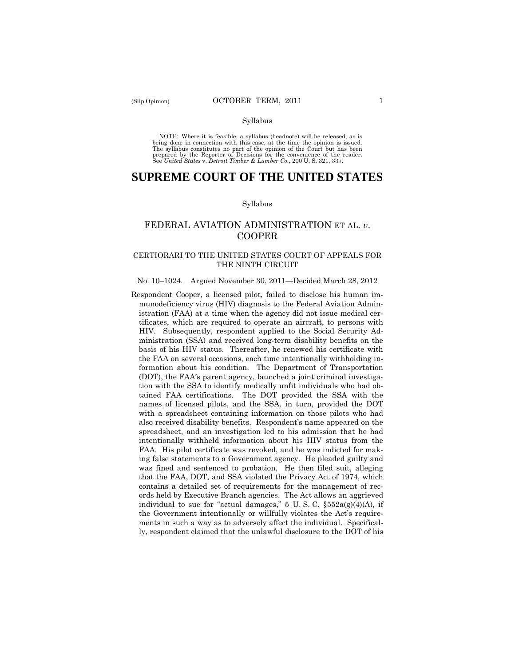#### Syllabus

 NOTE: Where it is feasible, a syllabus (headnote) will be released, as is being done in connection with this case, at the time the opinion is issued. The syllabus constitutes no part of the opinion of the Court but has been<br>prepared by the Reporter of Decisions for the convenience of the reader.<br>See United States v. Detroit Timber & Lumber Co., 200 U.S. 321, 337.

# **SUPREME COURT OF THE UNITED STATES**

#### Syllabus

# FEDERAL AVIATION ADMINISTRATION ET AL. *v*. COOPER

# CERTIORARI TO THE UNITED STATES COURT OF APPEALS FOR THE NINTH CIRCUIT

#### No. 10–1024. Argued November 30, 2011—Decided March 28, 2012

Respondent Cooper, a licensed pilot, failed to disclose his human immunodeficiency virus (HIV) diagnosis to the Federal Aviation Administration (FAA) at a time when the agency did not issue medical certificates, which are required to operate an aircraft, to persons with HIV. Subsequently, respondent applied to the Social Security Administration (SSA) and received long-term disability benefits on the basis of his HIV status. Thereafter, he renewed his certificate with the FAA on several occasions, each time intentionally withholding information about his condition. The Department of Transportation (DOT), the FAA's parent agency, launched a joint criminal investigation with the SSA to identify medically unfit individuals who had obtained FAA certifications. The DOT provided the SSA with the names of licensed pilots, and the SSA, in turn, provided the DOT with a spreadsheet containing information on those pilots who had also received disability benefits. Respondent's name appeared on the spreadsheet, and an investigation led to his admission that he had intentionally withheld information about his HIV status from the FAA. His pilot certificate was revoked, and he was indicted for making false statements to a Government agency. He pleaded guilty and was fined and sentenced to probation. He then filed suit, alleging that the FAA, DOT, and SSA violated the Privacy Act of 1974, which contains a detailed set of requirements for the management of records held by Executive Branch agencies. The Act allows an aggrieved individual to sue for "actual damages,"  $5 \text{ U.S. C. }$   $\S 552a(g)(4)(A)$ , if the Government intentionally or willfully violates the Act's requirements in such a way as to adversely affect the individual. Specifically, respondent claimed that the unlawful disclosure to the DOT of his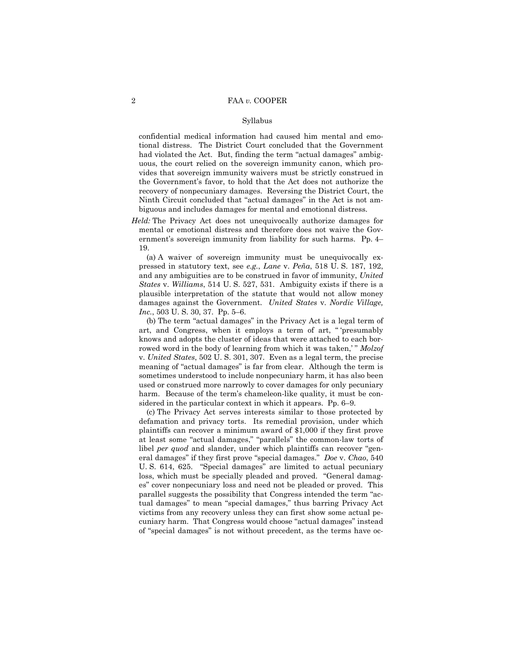#### Syllabus

 recovery of nonpecuniary damages. Reversing the District Court, the confidential medical information had caused him mental and emotional distress. The District Court concluded that the Government had violated the Act. But, finding the term "actual damages" ambiguous, the court relied on the sovereign immunity canon, which provides that sovereign immunity waivers must be strictly construed in the Government's favor, to hold that the Act does not authorize the Ninth Circuit concluded that "actual damages" in the Act is not ambiguous and includes damages for mental and emotional distress.

*Held:* The Privacy Act does not unequivocally authorize damages for mental or emotional distress and therefore does not waive the Government's sovereign immunity from liability for such harms. Pp. 4– 19.

(a) A waiver of sovereign immunity must be unequivocally expressed in statutory text, see *e.g.*, *Lane* v. *Peña*, 518 U. S. 187, 192, and any ambiguities are to be construed in favor of immunity, *United States* v. *Williams*, 514 U. S. 527, 531. Ambiguity exists if there is a plausible interpretation of the statute that would not allow money damages against the Government. *United States* v. *Nordic Village, Inc.*, 503 U. S. 30, 37. Pp. 5–6.

(b) The term "actual damages" in the Privacy Act is a legal term of art, and Congress, when it employs a term of art, " 'presumably knows and adopts the cluster of ideas that were attached to each borrowed word in the body of learning from which it was taken," *Molzof* v. *United States*, 502 U. S. 301, 307. Even as a legal term, the precise meaning of "actual damages" is far from clear. Although the term is sometimes understood to include nonpecuniary harm, it has also been used or construed more narrowly to cover damages for only pecuniary harm. Because of the term's chameleon-like quality, it must be considered in the particular context in which it appears. Pp. 6–9.

(c) The Privacy Act serves interests similar to those protected by defamation and privacy torts. Its remedial provision, under which plaintiffs can recover a minimum award of \$1,000 if they first prove at least some "actual damages," "parallels" the common-law torts of libel *per quod* and slander, under which plaintiffs can recover "general damages" if they first prove "special damages." *Doe* v. *Chao*, 540 U. S. 614, 625. "Special damages" are limited to actual pecuniary loss, which must be specially pleaded and proved. "General damages" cover nonpecuniary loss and need not be pleaded or proved. This parallel suggests the possibility that Congress intended the term "actual damages" to mean "special damages," thus barring Privacy Act victims from any recovery unless they can first show some actual pecuniary harm. That Congress would choose "actual damages" instead of "special damages" is not without precedent, as the terms have oc-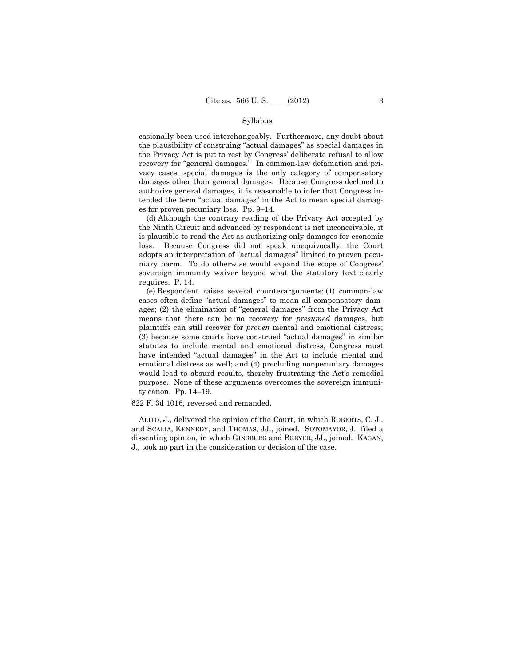#### Syllabus

 recovery for "general damages." In common-law defamation and pricasionally been used interchangeably. Furthermore, any doubt about the plausibility of construing "actual damages" as special damages in the Privacy Act is put to rest by Congress' deliberate refusal to allow vacy cases, special damages is the only category of compensatory damages other than general damages. Because Congress declined to authorize general damages, it is reasonable to infer that Congress intended the term "actual damages" in the Act to mean special damages for proven pecuniary loss. Pp. 9–14.

(d) Although the contrary reading of the Privacy Act accepted by the Ninth Circuit and advanced by respondent is not inconceivable, it is plausible to read the Act as authorizing only damages for economic loss. Because Congress did not speak unequivocally, the Court adopts an interpretation of "actual damages" limited to proven pecuniary harm. To do otherwise would expand the scope of Congress' sovereign immunity waiver beyond what the statutory text clearly requires. P. 14.

(e) Respondent raises several counterarguments: (1) common-law cases often define "actual damages" to mean all compensatory damages; (2) the elimination of "general damages" from the Privacy Act means that there can be no recovery for *presumed* damages, but plaintiffs can still recover for *proven* mental and emotional distress; (3) because some courts have construed "actual damages" in similar statutes to include mental and emotional distress, Congress must have intended "actual damages" in the Act to include mental and emotional distress as well; and (4) precluding nonpecuniary damages would lead to absurd results, thereby frustrating the Act's remedial purpose. None of these arguments overcomes the sovereign immunity canon. Pp. 14–19.

622 F. 3d 1016, reversed and remanded.

ALITO, J., delivered the opinion of the Court, in which ROBERTS, C. J., and SCALIA, KENNEDY, and THOMAS, JJ., joined. SOTOMAYOR, J., filed a dissenting opinion, in which GINSBURG and BREYER, JJ., joined. KAGAN, J., took no part in the consideration or decision of the case.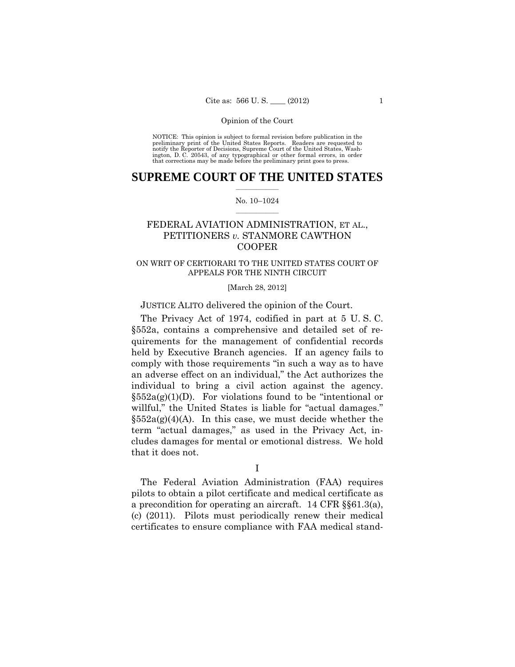preliminary print of the United States Reports. Readers are requested to notify the Reporter of Decisions, Supreme Court of the United States, Wash- ington, D. C. 20543, of any typographical or other formal errors, in order that corrections may be made before the preliminary print goes to press. NOTICE: This opinion is subject to formal revision before publication in the

# $\frac{1}{2}$  ,  $\frac{1}{2}$  ,  $\frac{1}{2}$  ,  $\frac{1}{2}$  ,  $\frac{1}{2}$  ,  $\frac{1}{2}$  ,  $\frac{1}{2}$ **SUPREME COURT OF THE UNITED STATES**

### $\frac{1}{2}$  ,  $\frac{1}{2}$  ,  $\frac{1}{2}$  ,  $\frac{1}{2}$  ,  $\frac{1}{2}$  ,  $\frac{1}{2}$ No. 10–1024

# FEDERAL AVIATION ADMINISTRATION, ET AL., PETITIONERS *v.* STANMORE CAWTHON COOPER

# ON WRIT OF CERTIORARI TO THE UNITED STATES COURT OF APPEALS FOR THE NINTH CIRCUIT

# [March 28, 2012]

# JUSTICE ALITO delivered the opinion of the Court.

The Privacy Act of 1974, codified in part at 5 U. S. C. §552a, contains a comprehensive and detailed set of requirements for the management of confidential records held by Executive Branch agencies. If an agency fails to comply with those requirements "in such a way as to have an adverse effect on an individual," the Act authorizes the individual to bring a civil action against the agency.  $§552a(g)(1)(D)$ . For violations found to be "intentional or willful," the United States is liable for "actual damages."  $\delta 52a(g)(4)(A)$ . In this case, we must decide whether the term "actual damages," as used in the Privacy Act, includes damages for mental or emotional distress. We hold that it does not.

I

The Federal Aviation Administration (FAA) requires pilots to obtain a pilot certificate and medical certificate as a precondition for operating an aircraft. 14 CFR §§61.3(a), (c) (2011). Pilots must periodically renew their medical certificates to ensure compliance with FAA medical stand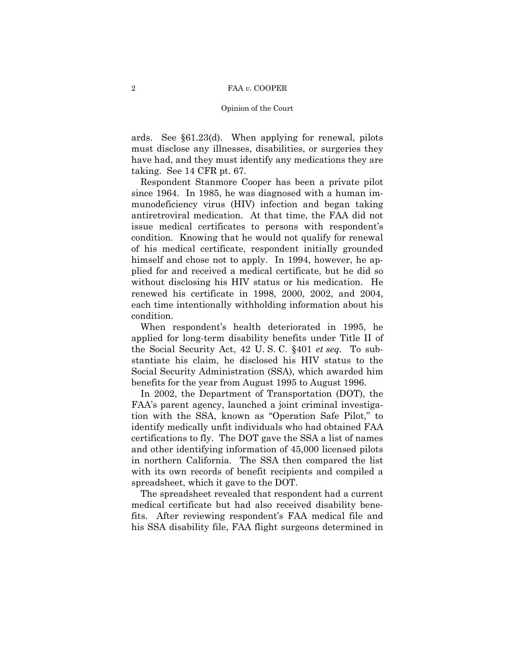#### Opinion of the Court

ards. See §61.23(d). When applying for renewal, pilots must disclose any illnesses, disabilities, or surgeries they have had, and they must identify any medications they are taking. See 14 CFR pt. 67.

 Respondent Stanmore Cooper has been a private pilot since 1964. In 1985, he was diagnosed with a human immunodeficiency virus (HIV) infection and began taking antiretroviral medication. At that time, the FAA did not issue medical certificates to persons with respondent's condition. Knowing that he would not qualify for renewal of his medical certificate, respondent initially grounded himself and chose not to apply. In 1994, however, he applied for and received a medical certificate, but he did so without disclosing his HIV status or his medication. He renewed his certificate in 1998, 2000, 2002, and 2004, each time intentionally withholding information about his condition.

When respondent's health deteriorated in 1995, he applied for long-term disability benefits under Title II of the Social Security Act, 42 U. S. C. §401 *et seq.* To substantiate his claim, he disclosed his HIV status to the Social Security Administration (SSA), which awarded him benefits for the year from August 1995 to August 1996.

In 2002, the Department of Transportation (DOT), the FAA's parent agency, launched a joint criminal investigation with the SSA, known as "Operation Safe Pilot," to identify medically unfit individuals who had obtained FAA certifications to fly. The DOT gave the SSA a list of names and other identifying information of 45,000 licensed pilots in northern California. The SSA then compared the list with its own records of benefit recipients and compiled a spreadsheet, which it gave to the DOT.

The spreadsheet revealed that respondent had a current medical certificate but had also received disability benefits. After reviewing respondent's FAA medical file and his SSA disability file, FAA flight surgeons determined in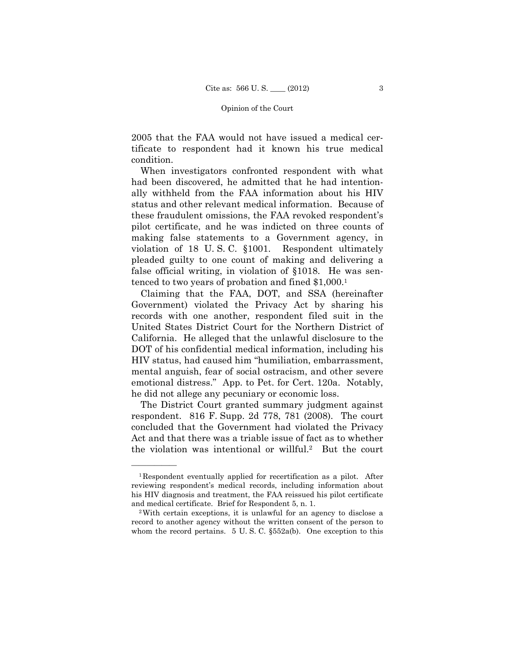2005 that the FAA would not have issued a medical certificate to respondent had it known his true medical condition.

 false official writing, in violation of §1018. He was sen-When investigators confronted respondent with what had been discovered, he admitted that he had intentionally withheld from the FAA information about his HIV status and other relevant medical information. Because of these fraudulent omissions, the FAA revoked respondent's pilot certificate, and he was indicted on three counts of making false statements to a Government agency, in violation of 18 U. S. C. §1001. Respondent ultimately pleaded guilty to one count of making and delivering a tenced to two years of probation and fined \$1,000.1

Claiming that the FAA, DOT, and SSA (hereinafter Government) violated the Privacy Act by sharing his records with one another, respondent filed suit in the United States District Court for the Northern District of California. He alleged that the unlawful disclosure to the DOT of his confidential medical information, including his HIV status, had caused him "humiliation, embarrassment, mental anguish, fear of social ostracism, and other severe emotional distress." App. to Pet. for Cert. 120a. Notably, he did not allege any pecuniary or economic loss.

The District Court granted summary judgment against respondent. 816 F. Supp. 2d 778, 781 (2008). The court concluded that the Government had violated the Privacy Act and that there was a triable issue of fact as to whether the violation was intentional or willful.2 But the court

<sup>1</sup>Respondent eventually applied for recertification as a pilot. After reviewing respondent's medical records, including information about his HIV diagnosis and treatment, the FAA reissued his pilot certificate and medical certificate. Brief for Respondent 5, n. 1. 2With certain exceptions, it is unlawful for an agency to disclose a

record to another agency without the written consent of the person to whom the record pertains. 5 U.S.C.  $\S 552a(b)$ . One exception to this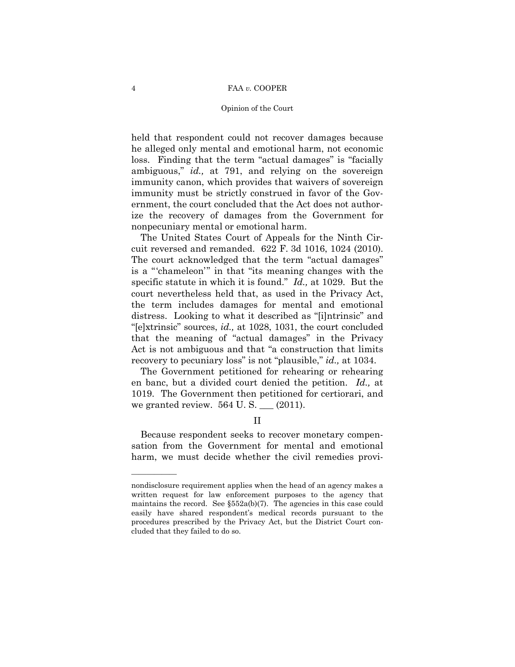### Opinion of the Court

held that respondent could not recover damages because he alleged only mental and emotional harm, not economic loss. Finding that the term "actual damages" is "facially ambiguous," *id.,* at 791, and relying on the sovereign immunity canon, which provides that waivers of sovereign immunity must be strictly construed in favor of the Government, the court concluded that the Act does not authorize the recovery of damages from the Government for nonpecuniary mental or emotional harm.

The United States Court of Appeals for the Ninth Circuit reversed and remanded. 622 F. 3d 1016, 1024 (2010). The court acknowledged that the term "actual damages" is a "'chameleon'" in that "its meaning changes with the specific statute in which it is found." *Id.,* at 1029. But the court nevertheless held that, as used in the Privacy Act, the term includes damages for mental and emotional distress. Looking to what it described as "[i]ntrinsic" and "[e]xtrinsic" sources, *id.,* at 1028, 1031, the court concluded that the meaning of "actual damages" in the Privacy Act is not ambiguous and that "a construction that limits recovery to pecuniary loss" is not "plausible," *id.,* at 1034.

The Government petitioned for rehearing or rehearing en banc, but a divided court denied the petition. *Id.,* at 1019. The Government then petitioned for certiorari, and we granted review.  $564$  U. S.  $\_\_$  (2011).

II

Because respondent seeks to recover monetary compensation from the Government for mental and emotional harm, we must decide whether the civil remedies provi

nondisclosure requirement applies when the head of an agency makes a written request for law enforcement purposes to the agency that maintains the record. See  $\S 552a(b)(7)$ . The agencies in this case could easily have shared respondent's medical records pursuant to the procedures prescribed by the Privacy Act, but the District Court concluded that they failed to do so.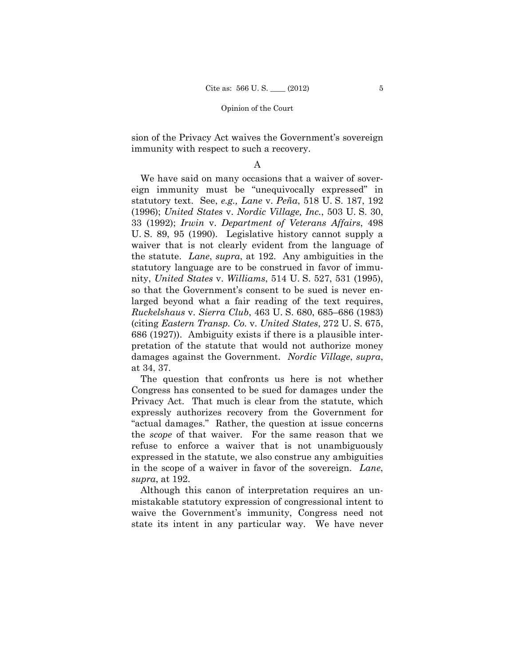sion of the Privacy Act waives the Government's sovereign immunity with respect to such a recovery.

# A

We have said on many occasions that a waiver of sovereign immunity must be "unequivocally expressed" in statutory text. See, *e.g., Lane* v. *Peña*, 518 U. S. 187, 192 (1996); *United States* v. *Nordic Village, Inc.*, 503 U. S. 30, 33 (1992); *Irwin* v. *Department of Veterans Affairs*, 498 U. S. 89, 95 (1990). Legislative history cannot supply a waiver that is not clearly evident from the language of the statute. *Lane*, *supra*, at 192. Any ambiguities in the statutory language are to be construed in favor of immunity, *United States* v. *Williams*, 514 U. S. 527, 531 (1995), so that the Government's consent to be sued is never enlarged beyond what a fair reading of the text requires, *Ruckelshaus* v. *Sierra Club*, 463 U. S. 680, 685–686 (1983) (citing *Eastern Transp. Co.* v. *United States*, 272 U. S. 675, 686 (1927)). Ambiguity exists if there is a plausible interpretation of the statute that would not authorize money damages against the Government. *Nordic Village*, *supra*, at 34, 37.

The question that confronts us here is not whether Congress has consented to be sued for damages under the Privacy Act. That much is clear from the statute, which expressly authorizes recovery from the Government for "actual damages." Rather, the question at issue concerns the *scope* of that waiver. For the same reason that we refuse to enforce a waiver that is not unambiguously expressed in the statute, we also construe any ambiguities in the scope of a waiver in favor of the sovereign. *Lane*, *supra*, at 192.

Although this canon of interpretation requires an unmistakable statutory expression of congressional intent to waive the Government's immunity, Congress need not state its intent in any particular way. We have never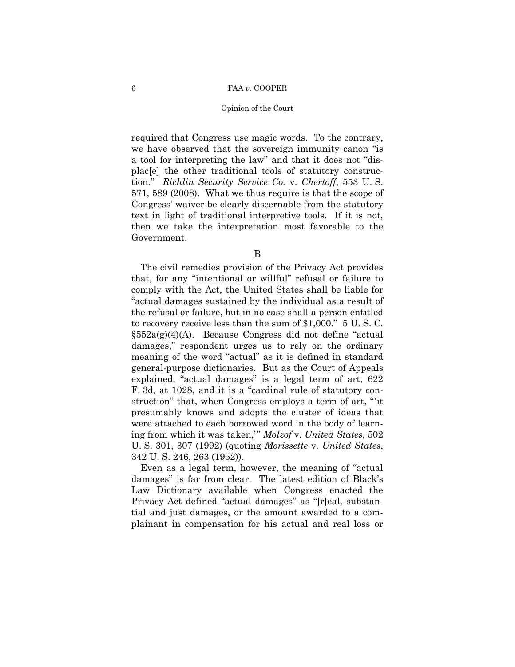### Opinion of the Court

required that Congress use magic words. To the contrary, we have observed that the sovereign immunity canon "is a tool for interpreting the law" and that it does not "displac[e] the other traditional tools of statutory construction." *Richlin Security Service Co.* v. *Chertoff*, 553 U. S. 571, 589 (2008). What we thus require is that the scope of Congress' waiver be clearly discernable from the statutory text in light of traditional interpretive tools. If it is not, then we take the interpretation most favorable to the Government.

B

The civil remedies provision of the Privacy Act provides that, for any "intentional or willful" refusal or failure to comply with the Act, the United States shall be liable for "actual damages sustained by the individual as a result of the refusal or failure, but in no case shall a person entitled to recovery receive less than the sum of \$1,000." 5 U. S. C.  $§552a(g)(4)(A)$ . Because Congress did not define "actual damages," respondent urges us to rely on the ordinary meaning of the word "actual" as it is defined in standard general-purpose dictionaries. But as the Court of Appeals explained, "actual damages" is a legal term of art, 622 F. 3d, at 1028, and it is a "cardinal rule of statutory construction" that, when Congress employs a term of art, "'it presumably knows and adopts the cluster of ideas that were attached to each borrowed word in the body of learning from which it was taken,'" *Molzof* v. *United States*, 502 U. S. 301, 307 (1992) (quoting *Morissette* v. *United States*, 342 U. S. 246, 263 (1952)).

Even as a legal term, however, the meaning of "actual damages" is far from clear. The latest edition of Black's Law Dictionary available when Congress enacted the Privacy Act defined "actual damages" as "[r]eal, substantial and just damages, or the amount awarded to a complainant in compensation for his actual and real loss or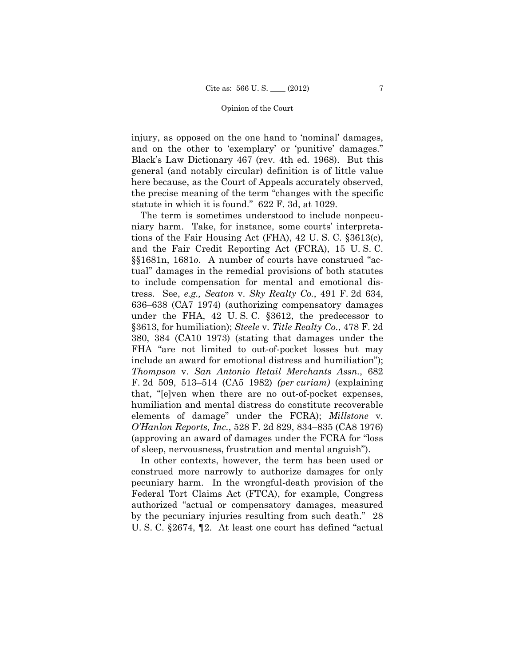injury, as opposed on the one hand to 'nominal' damages, and on the other to 'exemplary' or 'punitive' damages." Black's Law Dictionary 467 (rev. 4th ed. 1968). But this general (and notably circular) definition is of little value here because, as the Court of Appeals accurately observed, the precise meaning of the term "changes with the specific statute in which it is found." 622 F. 3d, at 1029.

The term is sometimes understood to include nonpecuniary harm. Take, for instance, some courts' interpretations of the Fair Housing Act (FHA), 42 U. S. C. §3613(c), and the Fair Credit Reporting Act (FCRA), 15 U. S. C. §§1681n, 1681*o*. A number of courts have construed "actual" damages in the remedial provisions of both statutes to include compensation for mental and emotional distress. See, *e.g., Seaton* v. *Sky Realty Co.*, 491 F. 2d 634, 636–638 (CA7 1974) (authorizing compensatory damages under the FHA, 42 U. S. C. §3612, the predecessor to §3613, for humiliation); *Steele* v. *Title Realty Co.*, 478 F. 2d 380, 384 (CA10 1973) (stating that damages under the FHA "are not limited to out-of-pocket losses but may include an award for emotional distress and humiliation"); *Thompson* v. *San Antonio Retail Merchants Assn.*, 682 F. 2d 509, 513–514 (CA5 1982) *(per curiam)* (explaining that, "[e]ven when there are no out-of-pocket expenses, humiliation and mental distress do constitute recoverable elements of damage" under the FCRA); *Millstone* v. *O'Hanlon Reports, Inc.*, 528 F. 2d 829, 834–835 (CA8 1976) (approving an award of damages under the FCRA for "loss of sleep, nervousness, frustration and mental anguish").

In other contexts, however, the term has been used or construed more narrowly to authorize damages for only pecuniary harm. In the wrongful-death provision of the Federal Tort Claims Act (FTCA), for example, Congress authorized "actual or compensatory damages, measured by the pecuniary injuries resulting from such death." 28 U. S. C. §2674, ¶2. At least one court has defined "actual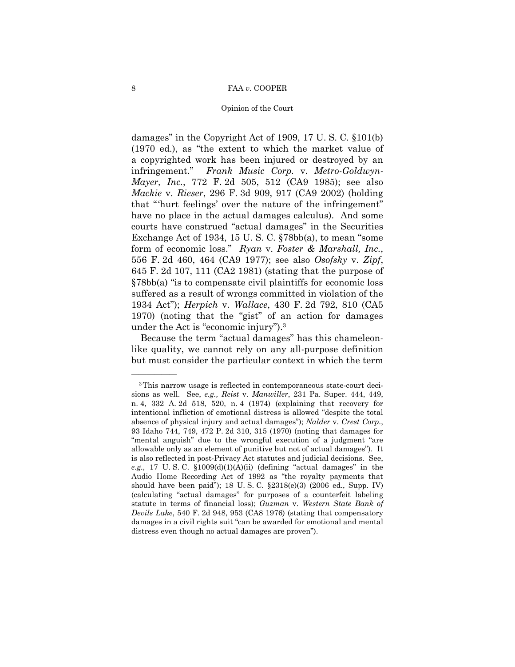### Opinion of the Court

damages" in the Copyright Act of 1909, 17 U. S. C. §101(b) (1970 ed.), as "the extent to which the market value of a copyrighted work has been injured or destroyed by an infringement." *Frank Music Corp.* v. *Metro-Goldwyn-Mayer, Inc.*, 772 F. 2d 505, 512 (CA9 1985); see also *Mackie* v. *Rieser*, 296 F. 3d 909, 917 (CA9 2002) (holding that "'hurt feelings' over the nature of the infringement" have no place in the actual damages calculus). And some courts have construed "actual damages" in the Securities Exchange Act of 1934, 15 U. S. C. §78bb(a), to mean "some form of economic loss." *Ryan* v. *Foster & Marshall, Inc.*, 556 F. 2d 460, 464 (CA9 1977); see also *Osofsky* v. *Zipf*, 645 F. 2d 107, 111 (CA2 1981) (stating that the purpose of §78bb(a) "is to compensate civil plaintiffs for economic loss suffered as a result of wrongs committed in violation of the 1934 Act"); *Herpich* v. *Wallace*, 430 F. 2d 792, 810 (CA5 1970) (noting that the "gist" of an action for damages under the Act is "economic injury").3

Because the term "actual damages" has this chameleonlike quality, we cannot rely on any all-purpose definition but must consider the particular context in which the term

 intentional infliction of emotional distress is allowed "despite the total 3This narrow usage is reflected in contemporaneous state-court decisions as well. See, *e.g., Reist* v. *Manwiller*, 231 Pa. Super. 444, 449, n. 4, 332 A. 2d 518, 520, n. 4 (1974) (explaining that recovery for absence of physical injury and actual damages"); *Nalder* v. *Crest Corp.*, 93 Idaho 744, 749, 472 P. 2d 310, 315 (1970) (noting that damages for "mental anguish" due to the wrongful execution of a judgment "are allowable only as an element of punitive but not of actual damages"). It is also reflected in post-Privacy Act statutes and judicial decisions. See, *e.g.,* 17 U. S. C. §1009(d)(1)(A)(ii) (defining "actual damages" in the Audio Home Recording Act of 1992 as "the royalty payments that should have been paid"); 18 U. S. C. §2318(e)(3) (2006 ed., Supp. IV) (calculating "actual damages" for purposes of a counterfeit labeling statute in terms of financial loss); *Guzman* v. *Western State Bank of Devils Lake*, 540 F. 2d 948, 953 (CA8 1976) (stating that compensatory damages in a civil rights suit "can be awarded for emotional and mental distress even though no actual damages are proven").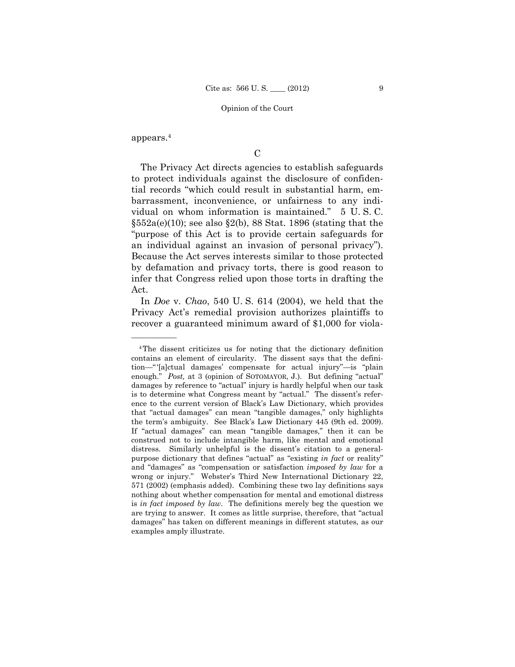appears.4

——————

 $\mathcal{C}$ 

The Privacy Act directs agencies to establish safeguards to protect individuals against the disclosure of confidential records "which could result in substantial harm, embarrassment, inconvenience, or unfairness to any individual on whom information is maintained." 5 U. S. C.  $\S552a(e)(10)$ ; see also  $\S2(b)$ , 88 Stat. 1896 (stating that the "purpose of this Act is to provide certain safeguards for an individual against an invasion of personal privacy"). Because the Act serves interests similar to those protected by defamation and privacy torts, there is good reason to infer that Congress relied upon those torts in drafting the Act.

 In *Doe* v. *Chao*, 540 U. S. 614 (2004), we held that the Privacy Act's remedial provision authorizes plaintiffs to recover a guaranteed minimum award of \$1,000 for viola

<sup>4</sup>The dissent criticizes us for noting that the dictionary definition contains an element of circularity. The dissent says that the definition—" '[a]ctual damages' compensate for actual injury"—is "plain enough." *Post,* at 3 (opinion of SOTOMAYOR, J.). But defining "actual" damages by reference to "actual" injury is hardly helpful when our task is to determine what Congress meant by "actual." The dissent's reference to the current version of Black's Law Dictionary, which provides that "actual damages" can mean "tangible damages," only highlights the term's ambiguity. See Black's Law Dictionary 445 (9th ed. 2009). If "actual damages" can mean "tangible damages," then it can be construed not to include intangible harm, like mental and emotional distress. Similarly unhelpful is the dissent's citation to a generalpurpose dictionary that defines "actual" as "existing *in fact* or reality" and "damages" as "compensation or satisfaction *imposed by law* for a wrong or injury." Webster's Third New International Dictionary 22, 571 (2002) (emphasis added). Combining these two lay definitions says nothing about whether compensation for mental and emotional distress is *in fact imposed by law*. The definitions merely beg the question we are trying to answer. It comes as little surprise, therefore, that "actual damages" has taken on different meanings in different statutes, as our examples amply illustrate.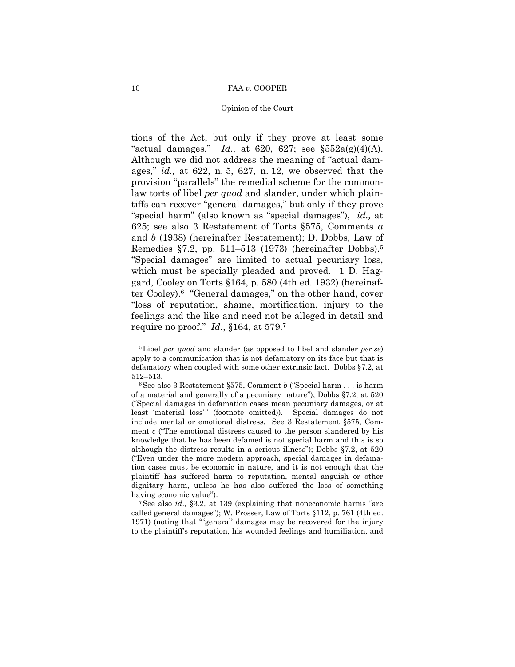### Opinion of the Court

 Remedies §7.2, pp. 511–513 (1973) (hereinafter Dobbs).5 tions of the Act, but only if they prove at least some "actual damages." *Id.*, at 620, 627; see  $\S552a(g)(4)(A)$ . Although we did not address the meaning of "actual damages," *id.,* at 622, n. 5, 627, n. 12, we observed that the provision "parallels" the remedial scheme for the commonlaw torts of libel *per quod* and slander, under which plaintiffs can recover "general damages," but only if they prove "special harm" (also known as "special damages"), *id.,* at 625; see also 3 Restatement of Torts §575, Comments *a*  and *b* (1938) (hereinafter Restatement); D. Dobbs, Law of "Special damages" are limited to actual pecuniary loss, which must be specially pleaded and proved. 1 D. Haggard, Cooley on Torts §164, p. 580 (4th ed. 1932) (hereinafter Cooley).6 "General damages," on the other hand, cover "loss of reputation, shame, mortification, injury to the feelings and the like and need not be alleged in detail and require no proof." *Id.*, §164, at 579.7

<sup>5</sup>Libel *per quod* and slander (as opposed to libel and slander *per se*) apply to a communication that is not defamatory on its face but that is defamatory when coupled with some other extrinsic fact. Dobbs §7.2, at

 ("Special damages in defamation cases mean pecuniary damages, or at 512–513. 6See also 3 Restatement §575, Comment *b* ("Special harm . . . is harm of a material and generally of a pecuniary nature"); Dobbs §7.2, at 520 least 'material loss'" (footnote omitted)). Special damages do not include mental or emotional distress. See 3 Restatement §575, Comment *c* ("The emotional distress caused to the person slandered by his knowledge that he has been defamed is not special harm and this is so although the distress results in a serious illness"); Dobbs §7.2, at 520 ("Even under the more modern approach, special damages in defamation cases must be economic in nature, and it is not enough that the plaintiff has suffered harm to reputation, mental anguish or other dignitary harm, unless he has also suffered the loss of something

having economic value").<br><sup>7</sup>See also *id.*, §3.2, at 139 (explaining that noneconomic harms "are called general damages"); W. Prosser, Law of Torts §112, p. 761 (4th ed. 1971) (noting that " 'general' damages may be recovered for the injury to the plaintiff's reputation, his wounded feelings and humiliation, and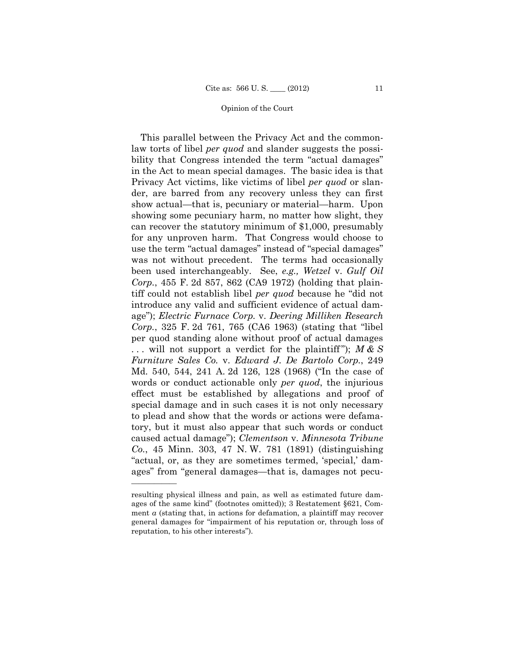... will not support a verdict for the plaintiff");  $M & S$ This parallel between the Privacy Act and the commonlaw torts of libel *per quod* and slander suggests the possibility that Congress intended the term "actual damages" in the Act to mean special damages. The basic idea is that Privacy Act victims, like victims of libel *per quod* or slander, are barred from any recovery unless they can first show actual—that is, pecuniary or material—harm. Upon showing some pecuniary harm, no matter how slight, they can recover the statutory minimum of \$1,000, presumably for any unproven harm. That Congress would choose to use the term "actual damages" instead of "special damages" was not without precedent. The terms had occasionally been used interchangeably. See, *e.g., Wetzel* v. *Gulf Oil Corp.*, 455 F. 2d 857, 862 (CA9 1972) (holding that plaintiff could not establish libel *per quod* because he "did not introduce any valid and sufficient evidence of actual damage"); *Electric Furnace Corp.* v. *Deering Milliken Research Corp.*, 325 F. 2d 761, 765 (CA6 1963) (stating that "libel per quod standing alone without proof of actual damages *Furniture Sales Co.* v. *Edward J. De Bartolo Corp.*, 249 Md. 540, 544, 241 A. 2d 126, 128 (1968) ("In the case of words or conduct actionable only *per quod*, the injurious effect must be established by allegations and proof of special damage and in such cases it is not only necessary to plead and show that the words or actions were defamatory, but it must also appear that such words or conduct caused actual damage"); *Clementson* v. *Minnesota Tribune Co.*, 45 Minn. 303, 47 N. W. 781 (1891) (distinguishing "actual, or, as they are sometimes termed, 'special,' damages" from "general damages—that is, damages not pecu

resulting physical illness and pain, as well as estimated future damages of the same kind" (footnotes omitted)); 3 Restatement §621, Comment *a* (stating that, in actions for defamation, a plaintiff may recover general damages for "impairment of his reputation or, through loss of reputation, to his other interests").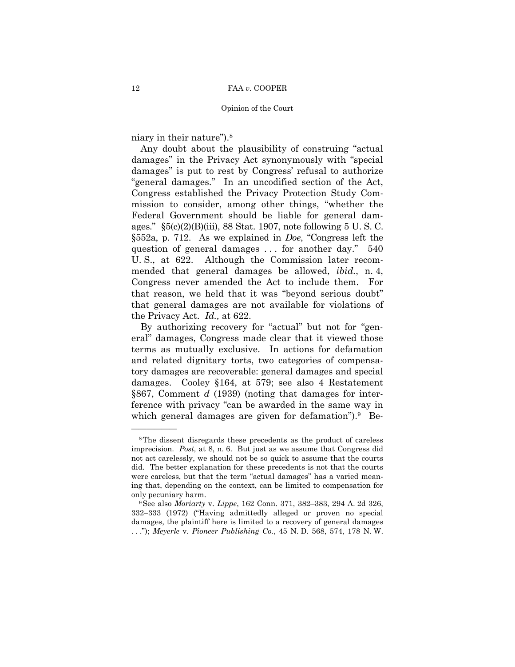niary in their nature").8

——————

Any doubt about the plausibility of construing "actual damages" in the Privacy Act synonymously with "special damages" is put to rest by Congress' refusal to authorize "general damages." In an uncodified section of the Act, Congress established the Privacy Protection Study Commission to consider, among other things, "whether the Federal Government should be liable for general damages." §5(c)(2)(B)(iii), 88 Stat. 1907, note following 5 U. S. C. §552a, p. 712. As we explained in *Doe*, "Congress left the question of general damages . . . for another day." 540 U. S., at 622. Although the Commission later recommended that general damages be allowed, *ibid.*, n. 4, Congress never amended the Act to include them. For that reason, we held that it was "beyond serious doubt" that general damages are not available for violations of the Privacy Act. *Id.,* at 622.

By authorizing recovery for "actual" but not for "general" damages, Congress made clear that it viewed those terms as mutually exclusive. In actions for defamation and related dignitary torts, two categories of compensatory damages are recoverable: general damages and special damages. Cooley §164, at 579; see also 4 Restatement §867, Comment *d* (1939) (noting that damages for interference with privacy "can be awarded in the same way in which general damages are given for defamation").<sup>9</sup> Be-

<sup>8</sup>The dissent disregards these precedents as the product of careless imprecision. *Post,* at 8, n. 6. But just as we assume that Congress did not act carelessly, we should not be so quick to assume that the courts did. The better explanation for these precedents is not that the courts were careless, but that the term "actual damages" has a varied meaning that, depending on the context, can be limited to compensation for

only pecuniary harm. 9See also *Moriarty* v. *Lippe*, 162 Conn. 371, 382–383, 294 A. 2d 326, 332–333 (1972) ("Having admittedly alleged or proven no special damages, the plaintiff here is limited to a recovery of general damages . . ."); *Meyerle* v. *Pioneer Publishing Co.*, 45 N. D. 568, 574, 178 N. W.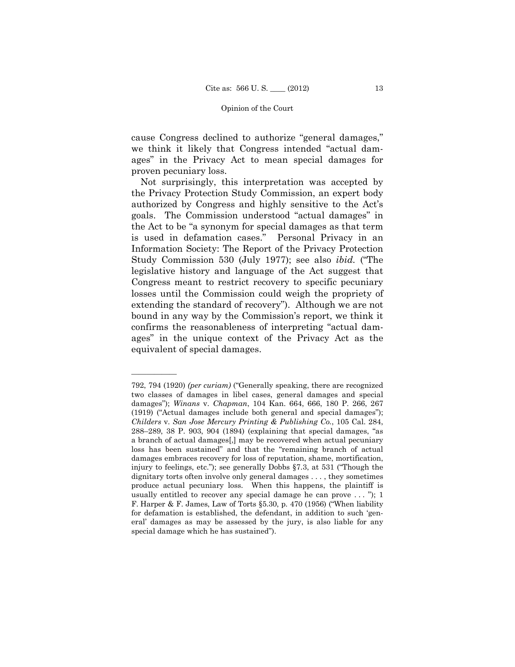cause Congress declined to authorize "general damages," we think it likely that Congress intended "actual damages" in the Privacy Act to mean special damages for proven pecuniary loss.

Not surprisingly, this interpretation was accepted by the Privacy Protection Study Commission, an expert body authorized by Congress and highly sensitive to the Act's goals. The Commission understood "actual damages" in the Act to be "a synonym for special damages as that term is used in defamation cases." Personal Privacy in an Information Society: The Report of the Privacy Protection Study Commission 530 (July 1977); see also *ibid.* ("The legislative history and language of the Act suggest that Congress meant to restrict recovery to specific pecuniary losses until the Commission could weigh the propriety of extending the standard of recovery"). Although we are not bound in any way by the Commission's report, we think it confirms the reasonableness of interpreting "actual damages" in the unique context of the Privacy Act as the equivalent of special damages.

 792, 794 (1920) *(per curiam)* ("Generally speaking, there are recognized two classes of damages in libel cases, general damages and special damages"); *Winans* v. *Chapman*, 104 Kan. 664, 666, 180 P. 266, 267 (1919) ("Actual damages include both general and special damages"); *Childers* v. *San Jose Mercury Printing & Publishing Co.*, 105 Cal. 284, 288–289, 38 P. 903, 904 (1894) (explaining that special damages, "as a branch of actual damages[,] may be recovered when actual pecuniary loss has been sustained" and that the "remaining branch of actual damages embraces recovery for loss of reputation, shame, mortification, injury to feelings, etc."); see generally Dobbs §7.3, at 531 ("Though the dignitary torts often involve only general damages . . . , they sometimes produce actual pecuniary loss. When this happens, the plaintiff is usually entitled to recover any special damage he can prove  $\dots$  "); 1 F. Harper & F. James, Law of Torts §5.30, p. 470 (1956) ("When liability for defamation is established, the defendant, in addition to such 'general' damages as may be assessed by the jury, is also liable for any special damage which he has sustained").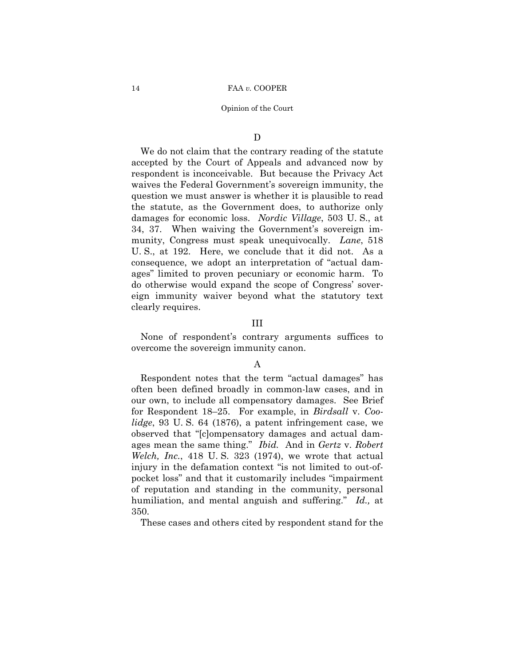# $\mathbf D$

We do not claim that the contrary reading of the statute accepted by the Court of Appeals and advanced now by respondent is inconceivable. But because the Privacy Act waives the Federal Government's sovereign immunity, the question we must answer is whether it is plausible to read the statute, as the Government does, to authorize only damages for economic loss. *Nordic Village*, 503 U. S., at 34, 37. When waiving the Government's sovereign immunity, Congress must speak unequivocally. *Lane*, 518 U. S., at 192. Here, we conclude that it did not. As a consequence, we adopt an interpretation of "actual damages" limited to proven pecuniary or economic harm. To do otherwise would expand the scope of Congress' sovereign immunity waiver beyond what the statutory text clearly requires.

# III

None of respondent's contrary arguments suffices to overcome the sovereign immunity canon.

# A

Respondent notes that the term "actual damages" has often been defined broadly in common-law cases, and in our own, to include all compensatory damages. See Brief for Respondent 18–25. For example, in *Birdsall* v. *Coolidge*, 93 U. S. 64 (1876), a patent infringement case, we observed that "[c]ompensatory damages and actual damages mean the same thing." *Ibid.* And in *Gertz* v. *Robert Welch, Inc.*, 418 U. S. 323 (1974), we wrote that actual injury in the defamation context "is not limited to out-ofpocket loss" and that it customarily includes "impairment of reputation and standing in the community, personal humiliation, and mental anguish and suffering." *Id.,* at 350.

These cases and others cited by respondent stand for the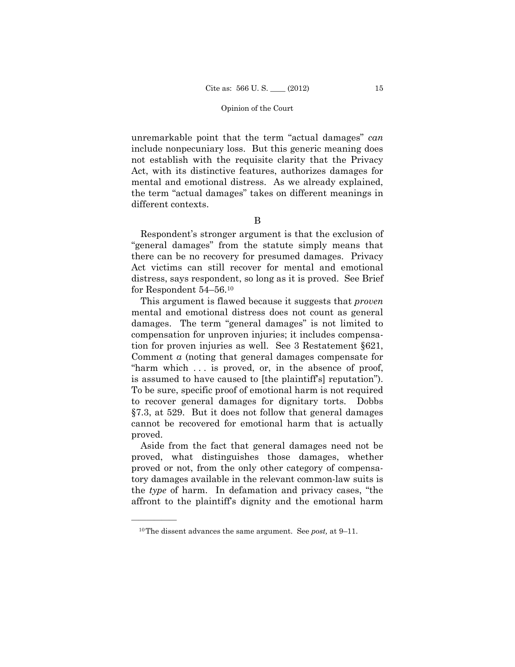unremarkable point that the term "actual damages" *can*  include nonpecuniary loss. But this generic meaning does not establish with the requisite clarity that the Privacy Act, with its distinctive features, authorizes damages for mental and emotional distress. As we already explained, the term "actual damages" takes on different meanings in different contexts.

B

Respondent's stronger argument is that the exclusion of "general damages" from the statute simply means that there can be no recovery for presumed damages. Privacy Act victims can still recover for mental and emotional distress, says respondent, so long as it is proved. See Brief for Respondent 54–56.10

This argument is flawed because it suggests that *proven* mental and emotional distress does not count as general damages. The term "general damages" is not limited to compensation for unproven injuries; it includes compensation for proven injuries as well. See 3 Restatement §621, Comment *a* (noting that general damages compensate for "harm which . . . is proved, or, in the absence of proof, is assumed to have caused to [the plaintiff's] reputation"). To be sure, specific proof of emotional harm is not required to recover general damages for dignitary torts. Dobbs §7.3, at 529. But it does not follow that general damages cannot be recovered for emotional harm that is actually proved.

Aside from the fact that general damages need not be proved, what distinguishes those damages, whether proved or not, from the only other category of compensatory damages available in the relevant common-law suits is the *type* of harm. In defamation and privacy cases, "the affront to the plaintiff's dignity and the emotional harm

<sup>10</sup>The dissent advances the same argument. See *post,* at 9–11.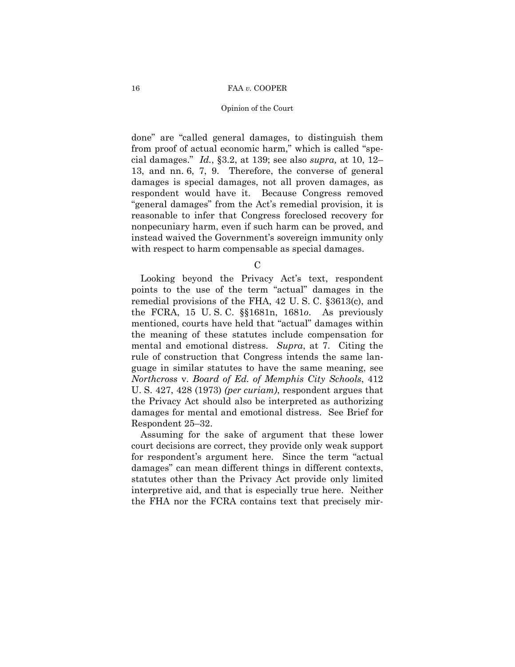### Opinion of the Court

done" are "called general damages, to distinguish them from proof of actual economic harm," which is called "special damages." *Id.*, §3.2, at 139; see also *supra,* at 10, 12– 13, and nn. 6, 7, 9. Therefore, the converse of general damages is special damages, not all proven damages, as respondent would have it. Because Congress removed "general damages" from the Act's remedial provision, it is reasonable to infer that Congress foreclosed recovery for nonpecuniary harm, even if such harm can be proved, and instead waived the Government's sovereign immunity only with respect to harm compensable as special damages.

C

Looking beyond the Privacy Act's text, respondent points to the use of the term "actual" damages in the remedial provisions of the FHA, 42 U. S. C. §3613(c), and the FCRA, 15 U. S. C. §§1681n, 1681*o*. As previously mentioned, courts have held that "actual" damages within the meaning of these statutes include compensation for mental and emotional distress. *Supra*, at 7. Citing the rule of construction that Congress intends the same language in similar statutes to have the same meaning, see *Northcross* v. *Board of Ed. of Memphis City Schools*, 412 U. S. 427, 428 (1973) *(per curiam)*, respondent argues that the Privacy Act should also be interpreted as authorizing damages for mental and emotional distress. See Brief for Respondent 25–32.

Assuming for the sake of argument that these lower court decisions are correct, they provide only weak support for respondent's argument here. Since the term "actual damages" can mean different things in different contexts, statutes other than the Privacy Act provide only limited interpretive aid, and that is especially true here. Neither the FHA nor the FCRA contains text that precisely mir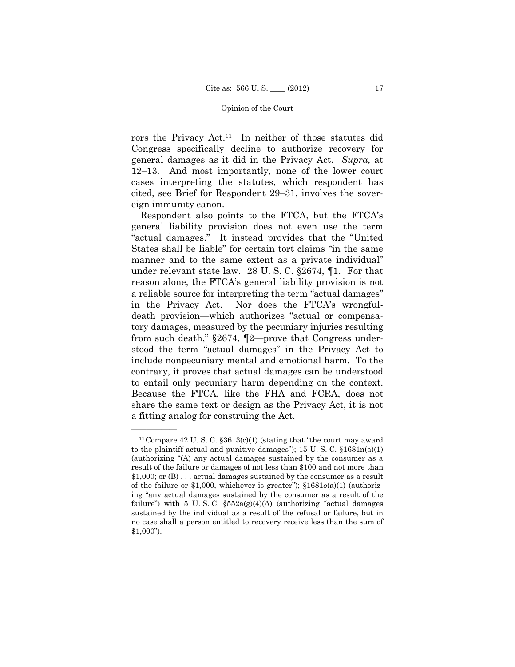rors the Privacy Act.11 In neither of those statutes did Congress specifically decline to authorize recovery for general damages as it did in the Privacy Act. *Supra,* at 12–13. And most importantly, none of the lower court cases interpreting the statutes, which respondent has cited, see Brief for Respondent 29–31, involves the sovereign immunity canon.

Respondent also points to the FTCA, but the FTCA's general liability provision does not even use the term "actual damages." It instead provides that the "United States shall be liable" for certain tort claims "in the same manner and to the same extent as a private individual" under relevant state law. 28 U. S. C. §2674, ¶1. For that reason alone, the FTCA's general liability provision is not a reliable source for interpreting the term "actual damages" in the Privacy Act. Nor does the FTCA's wrongfuldeath provision—which authorizes "actual or compensatory damages, measured by the pecuniary injuries resulting from such death," §2674, ¶2—prove that Congress understood the term "actual damages" in the Privacy Act to include nonpecuniary mental and emotional harm. To the contrary, it proves that actual damages can be understood to entail only pecuniary harm depending on the context. Because the FTCA, like the FHA and FCRA, does not share the same text or design as the Privacy Act, it is not a fitting analog for construing the Act.

<sup>&</sup>lt;sup>11</sup> Compare 42 U.S. C.  $$3613(c)(1)$  (stating that "the court may award to the plaintiff actual and punitive damages"); 15 U.S.C.  $\S 1681n(a)(1)$ (authorizing "(A) any actual damages sustained by the consumer as a result of the failure or damages of not less than \$100 and not more than \$1,000; or (B) . . . actual damages sustained by the consumer as a result of the failure or \$1,000, whichever is greater"); §1681*o*(a)(1) (authorizing "any actual damages sustained by the consumer as a result of the failure") with 5 U.S.C.  $\S552a(g)(4)(A)$  (authorizing "actual damages sustained by the individual as a result of the refusal or failure, but in no case shall a person entitled to recovery receive less than the sum of \$1,000").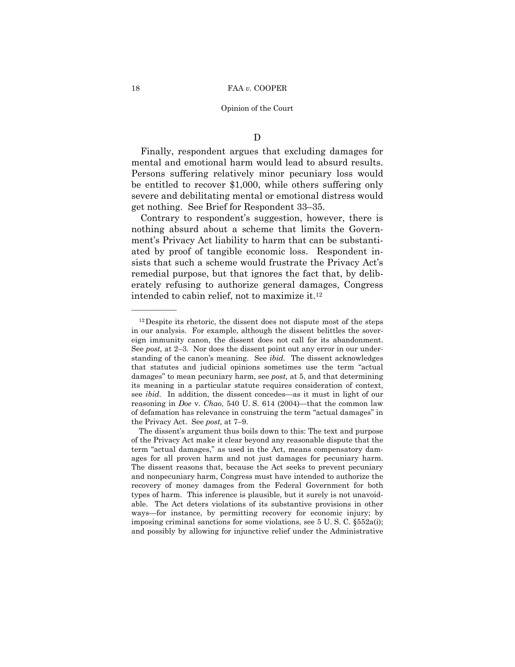# $\mathbf D$

Finally, respondent argues that excluding damages for mental and emotional harm would lead to absurd results. Persons suffering relatively minor pecuniary loss would be entitled to recover \$1,000, while others suffering only severe and debilitating mental or emotional distress would get nothing. See Brief for Respondent 33–35.

Contrary to respondent's suggestion, however, there is nothing absurd about a scheme that limits the Government's Privacy Act liability to harm that can be substantiated by proof of tangible economic loss. Respondent insists that such a scheme would frustrate the Privacy Act's remedial purpose, but that ignores the fact that, by deliberately refusing to authorize general damages, Congress intended to cabin relief, not to maximize it.12

 of defamation has relevance in construing the term "actual damages" in  $12$  Despite its rhetoric, the dissent does not dispute most of the steps in our analysis. For example, although the dissent belittles the sovereign immunity canon, the dissent does not call for its abandonment. See *post,* at 2–3. Nor does the dissent point out any error in our understanding of the canon's meaning. See *ibid.* The dissent acknowledges that statutes and judicial opinions sometimes use the term "actual damages" to mean pecuniary harm, see *post,* at 5, and that determining its meaning in a particular statute requires consideration of context, see *ibid.* In addition, the dissent concedes—as it must in light of our reasoning in *Doe* v. *Chao*, 540 U. S. 614 (2004)—that the common law the Privacy Act. See *post,* at 7–9.

 ages for all proven harm and not just damages for pecuniary harm. The dissent's argument thus boils down to this: The text and purpose of the Privacy Act make it clear beyond any reasonable dispute that the term "actual damages," as used in the Act, means compensatory dam-The dissent reasons that, because the Act seeks to prevent pecuniary and nonpecuniary harm, Congress must have intended to authorize the recovery of money damages from the Federal Government for both types of harm. This inference is plausible, but it surely is not unavoidable. The Act deters violations of its substantive provisions in other ways—for instance, by permitting recovery for economic injury; by imposing criminal sanctions for some violations, see 5 U. S. C. §552a(i); and possibly by allowing for injunctive relief under the Administrative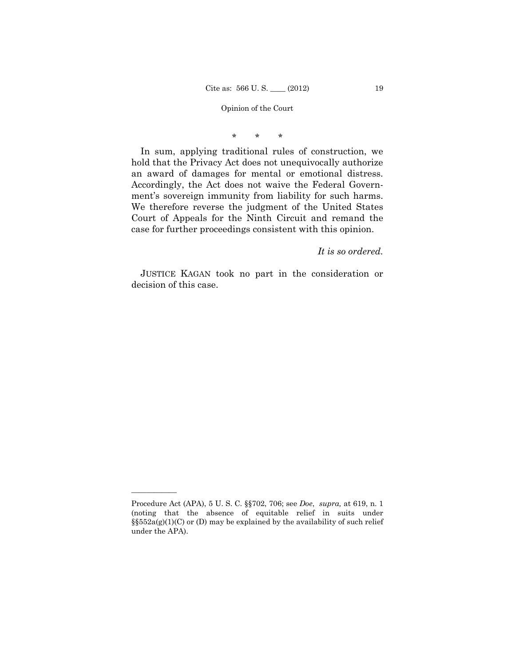\* \* \*

In sum, applying traditional rules of construction, we hold that the Privacy Act does not unequivocally authorize an award of damages for mental or emotional distress. Accordingly, the Act does not waive the Federal Government's sovereign immunity from liability for such harms. We therefore reverse the judgment of the United States Court of Appeals for the Ninth Circuit and remand the case for further proceedings consistent with this opinion.

# *It is so ordered.*

 JUSTICE KAGAN took no part in the consideration or decision of this case.

Procedure Act (APA), 5 U. S. C. §§702, 706; see *Doe*, *supra,* at 619, n. 1 (noting that the absence of equitable relief in suits under  $\S552a(g)(1)(C)$  or (D) may be explained by the availability of such relief under the APA).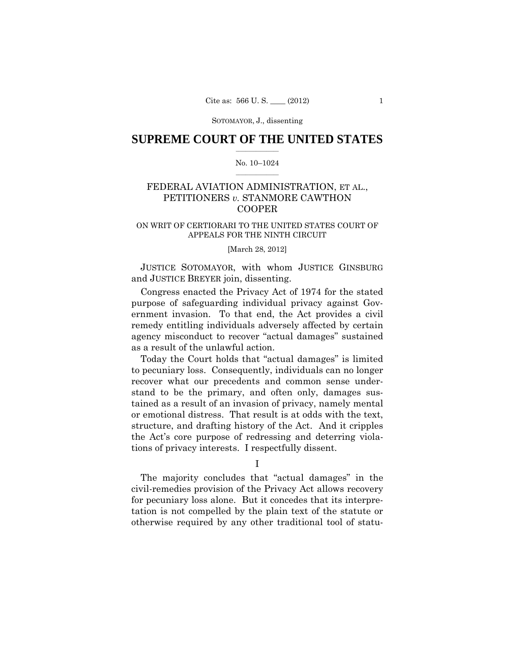# $\frac{1}{2}$  ,  $\frac{1}{2}$  ,  $\frac{1}{2}$  ,  $\frac{1}{2}$  ,  $\frac{1}{2}$  ,  $\frac{1}{2}$  ,  $\frac{1}{2}$ **SUPREME COURT OF THE UNITED STATES**

### $\frac{1}{2}$  ,  $\frac{1}{2}$  ,  $\frac{1}{2}$  ,  $\frac{1}{2}$  ,  $\frac{1}{2}$  ,  $\frac{1}{2}$ No. 10–1024

# FEDERAL AVIATION ADMINISTRATION, ET AL., PETITIONERS *v.* STANMORE CAWTHON COOPER

# ON WRIT OF CERTIORARI TO THE UNITED STATES COURT OF APPEALS FOR THE NINTH CIRCUIT

# [March 28, 2012]

 JUSTICE SOTOMAYOR, with whom JUSTICE GINSBURG and JUSTICE BREYER join, dissenting.

Congress enacted the Privacy Act of 1974 for the stated purpose of safeguarding individual privacy against Government invasion. To that end, the Act provides a civil remedy entitling individuals adversely affected by certain agency misconduct to recover "actual damages" sustained as a result of the unlawful action.

Today the Court holds that "actual damages" is limited to pecuniary loss. Consequently, individuals can no longer recover what our precedents and common sense understand to be the primary, and often only, damages sustained as a result of an invasion of privacy, namely mental or emotional distress. That result is at odds with the text, structure, and drafting history of the Act. And it cripples the Act's core purpose of redressing and deterring violations of privacy interests. I respectfully dissent.

I

The majority concludes that "actual damages" in the civil-remedies provision of the Privacy Act allows recovery for pecuniary loss alone. But it concedes that its interpretation is not compelled by the plain text of the statute or otherwise required by any other traditional tool of statu-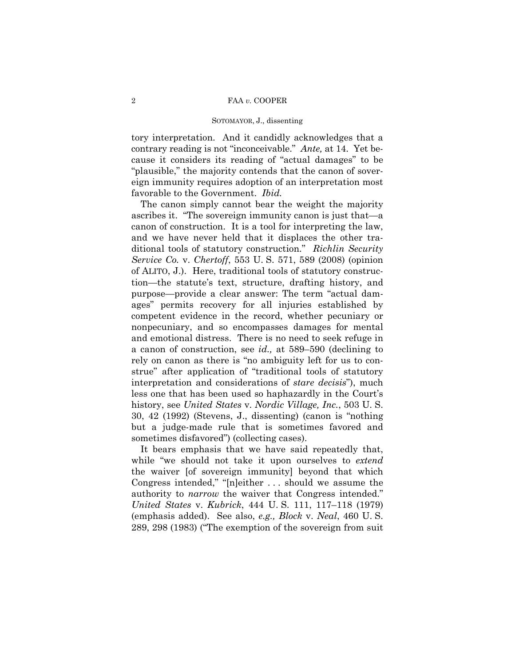tory interpretation. And it candidly acknowledges that a contrary reading is not "inconceivable." *Ante,* at 14. Yet because it considers its reading of "actual damages" to be "plausible," the majority contends that the canon of sovereign immunity requires adoption of an interpretation most favorable to the Government. *Ibid.* 

The canon simply cannot bear the weight the majority ascribes it. "The sovereign immunity canon is just that—a canon of construction. It is a tool for interpreting the law, and we have never held that it displaces the other traditional tools of statutory construction." *Richlin Security Service Co.* v. *Chertoff*, 553 U. S. 571, 589 (2008) (opinion of ALITO, J.). Here, traditional tools of statutory construction—the statute's text, structure, drafting history, and purpose—provide a clear answer: The term "actual damages" permits recovery for all injuries established by competent evidence in the record, whether pecuniary or nonpecuniary, and so encompasses damages for mental and emotional distress. There is no need to seek refuge in a canon of construction, see *id.,* at 589–590 (declining to rely on canon as there is "no ambiguity left for us to construe" after application of "traditional tools of statutory interpretation and considerations of *stare decisis*"), much less one that has been used so haphazardly in the Court's history, see *United States* v. *Nordic Village, Inc.*, 503 U. S. 30, 42 (1992) (Stevens, J., dissenting) (canon is "nothing but a judge-made rule that is sometimes favored and sometimes disfavored") (collecting cases).

It bears emphasis that we have said repeatedly that, while "we should not take it upon ourselves to *extend*  the waiver [of sovereign immunity] beyond that which Congress intended," "[n]either . . . should we assume the authority to *narrow* the waiver that Congress intended." *United States* v. *Kubrick*, 444 U. S. 111, 117–118 (1979) (emphasis added). See also, *e.g., Block* v. *Neal*, 460 U. S. 289, 298 (1983) ("The exemption of the sovereign from suit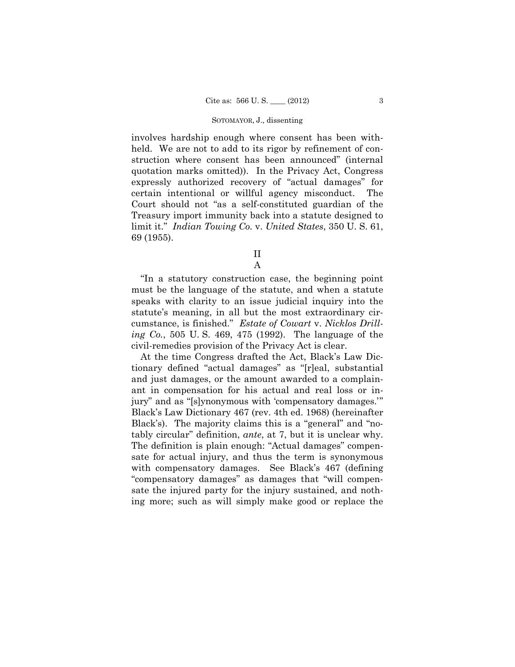involves hardship enough where consent has been withheld. We are not to add to its rigor by refinement of construction where consent has been announced" (internal quotation marks omitted)). In the Privacy Act, Congress expressly authorized recovery of "actual damages" for certain intentional or willful agency misconduct. The Court should not "as a self-constituted guardian of the Treasury import immunity back into a statute designed to limit it." *Indian Towing Co.* v. *United States*, 350 U. S. 61, 69 (1955).

> II A

 cumstance, is finished." *Estate of Cowart* v. *Nicklos Drill-*"In a statutory construction case, the beginning point must be the language of the statute, and when a statute speaks with clarity to an issue judicial inquiry into the statute's meaning, in all but the most extraordinary cir*ing Co.*, 505 U. S. 469, 475 (1992). The language of the civil-remedies provision of the Privacy Act is clear.

 At the time Congress drafted the Act, Black's Law Dic- jury" and as "[s]ynonymous with 'compensatory damages.'" tably circular" definition, *ante*, at 7, but it is unclear why. tionary defined "actual damages" as "[r]eal, substantial and just damages, or the amount awarded to a complainant in compensation for his actual and real loss or in-Black's Law Dictionary 467 (rev. 4th ed. 1968) (hereinafter Black's). The majority claims this is a "general" and "no-The definition is plain enough: "Actual damages" compensate for actual injury, and thus the term is synonymous with compensatory damages. See Black's 467 (defining "compensatory damages" as damages that "will compensate the injured party for the injury sustained, and nothing more; such as will simply make good or replace the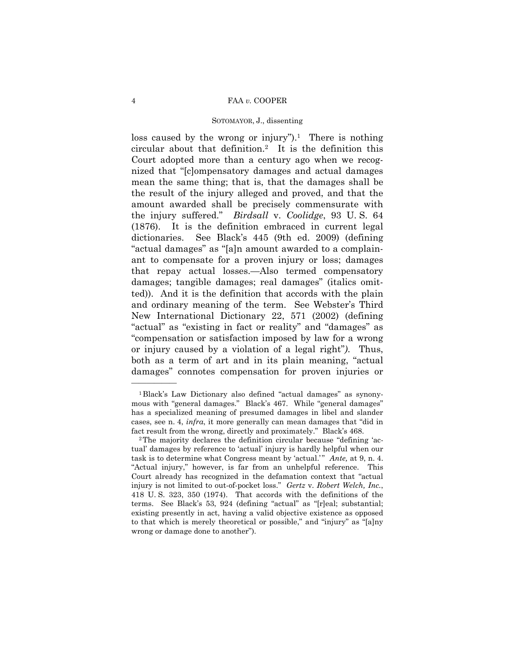loss caused by the wrong or injury").<sup>1</sup> There is nothing circular about that definition.2 It is the definition this Court adopted more than a century ago when we recognized that "[c]ompensatory damages and actual damages mean the same thing; that is, that the damages shall be the result of the injury alleged and proved, and that the amount awarded shall be precisely commensurate with the injury suffered." *Birdsall* v. *Coolidge*, 93 U. S. 64 (1876). It is the definition embraced in current legal dictionaries. See Black's 445 (9th ed. 2009) (defining "actual damages" as "[a]n amount awarded to a complainant to compensate for a proven injury or loss; damages that repay actual losses.—Also termed compensatory damages; tangible damages; real damages" (italics omitted)). And it is the definition that accords with the plain and ordinary meaning of the term. See Webster's Third New International Dictionary 22, 571 (2002) (defining "actual" as "existing in fact or reality" and "damages" as "compensation or satisfaction imposed by law for a wrong or injury caused by a violation of a legal right"*)*. Thus, both as a term of art and in its plain meaning, "actual damages" connotes compensation for proven injuries or

 cases, see n. 4, *infra*, it more generally can mean damages that "did in 1Black's Law Dictionary also defined "actual damages" as synonymous with "general damages." Black's 467. While "general damages" has a specialized meaning of presumed damages in libel and slander

 task is to determine what Congress meant by 'actual.' " *Ante,* at 9, n. 4. fact result from the wrong, directly and proximately." Black's 468.<br><sup>2</sup>The majority declares the definition circular because "defining 'actual' damages by reference to 'actual' injury is hardly helpful when our "Actual injury," however, is far from an unhelpful reference. This Court already has recognized in the defamation context that "actual injury is not limited to out-of-pocket loss." *Gertz* v. *Robert Welch, Inc.*, 418 U. S. 323, 350 (1974). That accords with the definitions of the terms. See Black's 53, 924 (defining "actual" as "[r]eal; substantial; existing presently in act, having a valid objective existence as opposed to that which is merely theoretical or possible," and "injury" as "[a]ny wrong or damage done to another").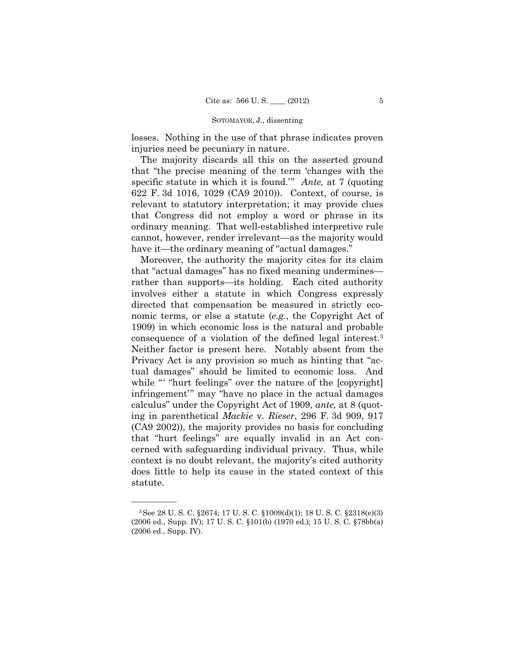losses. Nothing in the use of that phrase indicates proven injuries need be pecuniary in nature.

The majority discards all this on the asserted ground that "the precise meaning of the term 'changes with the specific statute in which it is found.'" *Ante,* at 7 (quoting 622 F. 3d 1016, 1029 (CA9 2010)). Context, of course, is relevant to statutory interpretation; it may provide clues that Congress did not employ a word or phrase in its ordinary meaning. That well-established interpretive rule cannot, however, render irrelevant—as the majority would have it—the ordinary meaning of "actual damages."

 consequence of a violation of the defined legal interest.3 Moreover, the authority the majority cites for its claim that "actual damages" has no fixed meaning undermines rather than supports—its holding. Each cited authority involves either a statute in which Congress expressly directed that compensation be measured in strictly economic terms, or else a statute (*e.g.*, the Copyright Act of 1909) in which economic loss is the natural and probable Neither factor is present here. Notably absent from the Privacy Act is any provision so much as hinting that "actual damages" should be limited to economic loss. And while "" "hurt feelings" over the nature of the [copyright] infringement'" may "have no place in the actual damages calculus" under the Copyright Act of 1909, *ante,* at 8 (quoting in parenthetical *Mackie* v. *Rieser*, 296 F. 3d 909, 917 (CA9 2002)), the majority provides no basis for concluding that "hurt feelings" are equally invalid in an Act concerned with safeguarding individual privacy. Thus, while context is no doubt relevant, the majority's cited authority does little to help its cause in the stated context of this statute.

<sup>3</sup>See 28 U. S. C. §2674; 17 U. S. C. §1009(d)(1); 18 U. S. C. §2318(e)(3) (2006 ed., Supp. IV); 17 U. S. C. §101(b) (1970 ed.); 15 U. S. C. §78bb(a) (2006 ed., Supp. IV).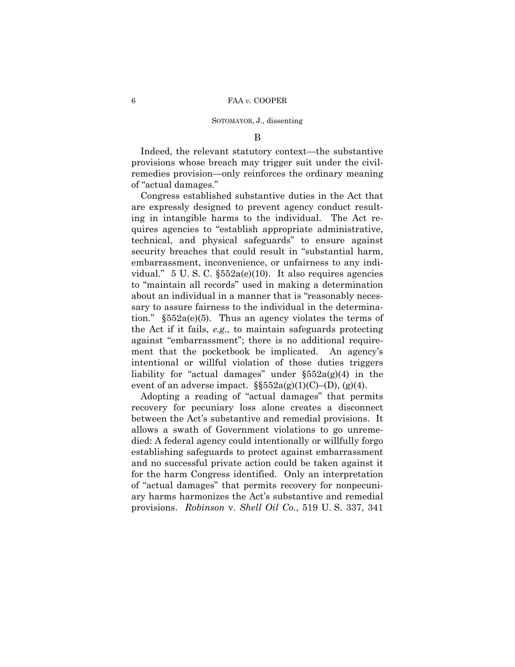### B

Indeed, the relevant statutory context—the substantive provisions whose breach may trigger suit under the civilremedies provision—only reinforces the ordinary meaning of "actual damages."

Congress established substantive duties in the Act that are expressly designed to prevent agency conduct resulting in intangible harms to the individual. The Act requires agencies to "establish appropriate administrative, technical, and physical safeguards" to ensure against security breaches that could result in "substantial harm, embarrassment, inconvenience, or unfairness to any individual." 5 U. S. C. §552a(e)(10). It also requires agencies to "maintain all records" used in making a determination about an individual in a manner that is "reasonably necessary to assure fairness to the individual in the determination." §552a(e)(5). Thus an agency violates the terms of the Act if it fails, *e.g.,* to maintain safeguards protecting against "embarrassment"; there is no additional requirement that the pocketbook be implicated. An agency's intentional or willful violation of those duties triggers liability for "actual damages" under  $\S552a(g)(4)$  in the event of an adverse impact.  $\S$ §552a(g)(1)(C)–(D), (g)(4).

Adopting a reading of "actual damages" that permits recovery for pecuniary loss alone creates a disconnect between the Act's substantive and remedial provisions. It allows a swath of Government violations to go unremedied: A federal agency could intentionally or willfully forgo establishing safeguards to protect against embarrassment and no successful private action could be taken against it for the harm Congress identified. Only an interpretation of "actual damages" that permits recovery for nonpecuniary harms harmonizes the Act's substantive and remedial provisions. *Robinson* v. *Shell Oil Co.*, 519 U. S. 337, 341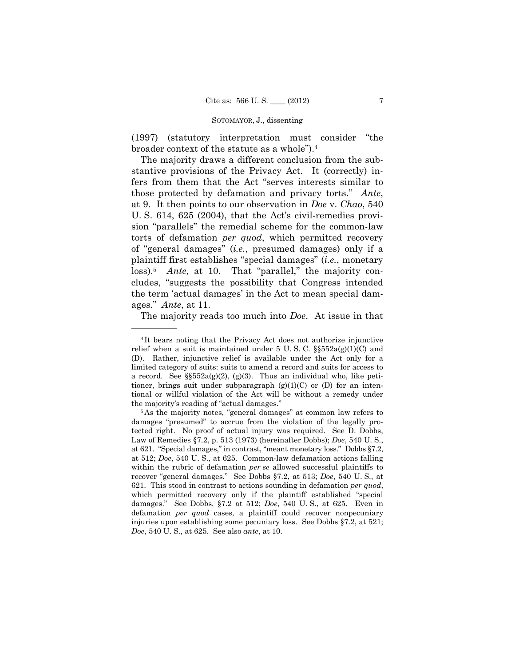(1997) (statutory interpretation must consider "the broader context of the statute as a whole").4

 loss).5 *Ante*, at 10. That "parallel," the majority con-The majority draws a different conclusion from the substantive provisions of the Privacy Act. It (correctly) infers from them that the Act "serves interests similar to those protected by defamation and privacy torts." *Ante*, at 9. It then points to our observation in *Doe* v. *Chao*, 540 U. S. 614, 625 (2004), that the Act's civil-remedies provision "parallels" the remedial scheme for the common-law torts of defamation *per quod*, which permitted recovery of "general damages" (*i.e.*, presumed damages) only if a plaintiff first establishes "special damages" (*i.e.*, monetary cludes, "suggests the possibility that Congress intended the term 'actual damages' in the Act to mean special damages." *Ante*, at 11.

The majority reads too much into *Doe*. At issue in that

<sup>4</sup> It bears noting that the Privacy Act does not authorize injunctive relief when a suit is maintained under  $5 \text{ U. S. C. }$   $\frac{\$552a(g)(1)(C)}{8552a(g)(1)(C)}$  and (D). Rather, injunctive relief is available under the Act only for a limited category of suits: suits to amend a record and suits for access to a record. See  $\S\$ 552a(g)(2), (g)(3). Thus an individual who, like petitioner, brings suit under subparagraph  $(g)(1)(C)$  or  $(D)$  for an intentional or willful violation of the Act will be without a remedy under the majority's reading of "actual damages." 5As the majority notes, "general damages" at common law refers to

 within the rubric of defamation *per se* allowed successful plaintiffs to damages "presumed" to accrue from the violation of the legally protected right. No proof of actual injury was required. See D. Dobbs, Law of Remedies §7.2, p. 513 (1973) (hereinafter Dobbs); *Doe*, 540 U. S., at 621. "Special damages," in contrast, "meant monetary loss." Dobbs §7.2, at 512; *Doe*, 540 U. S., at 625. Common-law defamation actions falling recover "general damages." See Dobbs §7.2, at 513; *Doe*, 540 U. S., at 621. This stood in contrast to actions sounding in defamation *per quod*, which permitted recovery only if the plaintiff established "special damages." See Dobbs, §7.2 at 512; *Doe*, 540 U. S., at 625. Even in defamation *per quod* cases, a plaintiff could recover nonpecuniary injuries upon establishing some pecuniary loss. See Dobbs §7.2, at 521; *Doe*, 540 U. S., at 625. See also *ante*, at 10.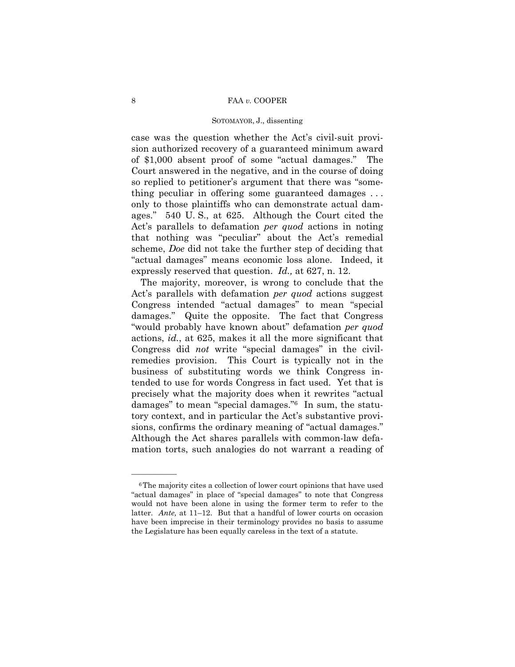### SOTOMAYOR, J., dissenting

case was the question whether the Act's civil-suit provision authorized recovery of a guaranteed minimum award of \$1,000 absent proof of some "actual damages." The Court answered in the negative, and in the course of doing so replied to petitioner's argument that there was "something peculiar in offering some guaranteed damages . . . only to those plaintiffs who can demonstrate actual damages." 540 U. S., at 625. Although the Court cited the Act's parallels to defamation *per quod* actions in noting that nothing was "peculiar" about the Act's remedial scheme, *Doe* did not take the further step of deciding that "actual damages" means economic loss alone. Indeed, it expressly reserved that question. *Id.,* at 627, n. 12.

The majority, moreover, is wrong to conclude that the Act's parallels with defamation *per quod* actions suggest Congress intended "actual damages" to mean "special damages." Quite the opposite. The fact that Congress "would probably have known about" defamation *per quod*  actions, *id.*, at 625, makes it all the more significant that Congress did *not* write "special damages" in the civilremedies provision. This Court is typically not in the business of substituting words we think Congress intended to use for words Congress in fact used. Yet that is precisely what the majority does when it rewrites "actual damages" to mean "special damages."6 In sum, the statutory context, and in particular the Act's substantive provisions, confirms the ordinary meaning of "actual damages." Although the Act shares parallels with common-law defamation torts, such analogies do not warrant a reading of

 latter. *Ante,* at 11–12. But that a handful of lower courts on occasion <sup>6</sup>The majority cites a collection of lower court opinions that have used "actual damages" in place of "special damages" to note that Congress would not have been alone in using the former term to refer to the have been imprecise in their terminology provides no basis to assume the Legislature has been equally careless in the text of a statute.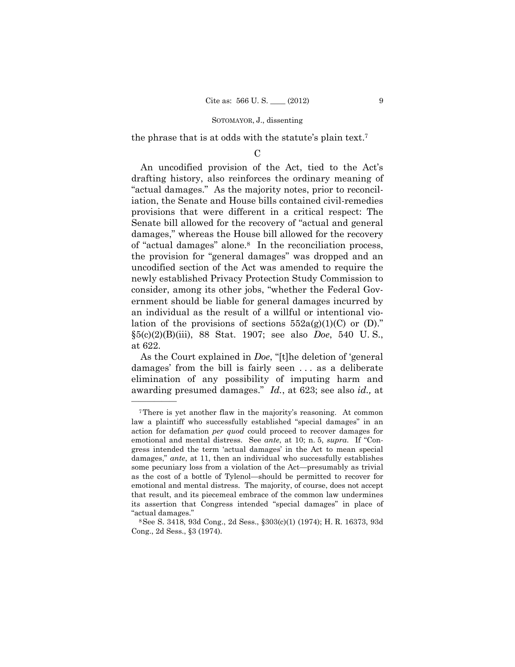the phrase that is at odds with the statute's plain text.7

 $\mathcal{C}$ 

An uncodified provision of the Act, tied to the Act's drafting history, also reinforces the ordinary meaning of "actual damages." As the majority notes, prior to reconciliation, the Senate and House bills contained civil-remedies provisions that were different in a critical respect: The Senate bill allowed for the recovery of "actual and general damages," whereas the House bill allowed for the recovery of "actual damages" alone.8 In the reconciliation process, the provision for "general damages" was dropped and an uncodified section of the Act was amended to require the newly established Privacy Protection Study Commission to consider, among its other jobs, "whether the Federal Government should be liable for general damages incurred by an individual as the result of a willful or intentional violation of the provisions of sections  $552a(g)(1)(C)$  or  $(D)$ ." §5(c)(2)(B)(iii), 88 Stat. 1907; see also *Doe*, 540 U. S., at 622.

As the Court explained in *Doe*, "[t]he deletion of 'general damages' from the bill is fairly seen . . . as a deliberate elimination of any possibility of imputing harm and awarding presumed damages." *Id.*, at 623; see also *id.,* at

<sup>7</sup>There is yet another flaw in the majority's reasoning. At common law a plaintiff who successfully established "special damages" in an action for defamation *per quod* could proceed to recover damages for emotional and mental distress. See *ante*, at 10; n. 5, *supra*. If "Congress intended the term 'actual damages' in the Act to mean special damages," *ante*, at 11, then an individual who successfully establishes some pecuniary loss from a violation of the Act—presumably as trivial as the cost of a bottle of Tylenol—should be permitted to recover for emotional and mental distress. The majority, of course, does not accept that result, and its piecemeal embrace of the common law undermines its assertion that Congress intended "special damages" in place of

<sup>&</sup>quot;actual damages." 8See S. 3418, 93d Cong., 2d Sess., §303(c)(1) (1974); H. R. 16373, 93d Cong., 2d Sess., §3 (1974).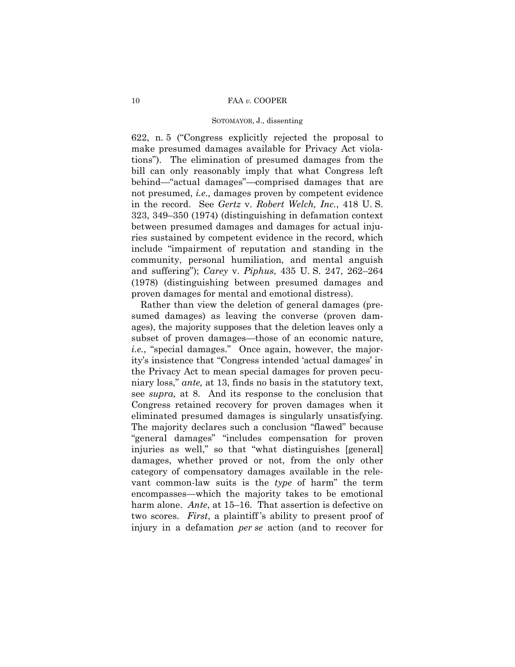### SOTOMAYOR, J., dissenting

622, n. 5 ("Congress explicitly rejected the proposal to make presumed damages available for Privacy Act violations"). The elimination of presumed damages from the bill can only reasonably imply that what Congress left behind—"actual damages"—comprised damages that are not presumed, *i.e.,* damages proven by competent evidence in the record. See *Gertz* v. *Robert Welch, Inc.*, 418 U. S. 323, 349–350 (1974) (distinguishing in defamation context between presumed damages and damages for actual injuries sustained by competent evidence in the record, which include "impairment of reputation and standing in the community, personal humiliation, and mental anguish and suffering"); *Carey* v. *Piphus*, 435 U. S. 247, 262–264 (1978) (distinguishing between presumed damages and proven damages for mental and emotional distress).

 ages), the majority supposes that the deletion leaves only a eliminated presumed damages is singularly unsatisfying. harm alone. *Ante*, at 15–16. That assertion is defective on Rather than view the deletion of general damages (presumed damages) as leaving the converse (proven damsubset of proven damages—those of an economic nature, *i.e.*, "special damages." Once again, however, the majority's insistence that "Congress intended 'actual damages' in the Privacy Act to mean special damages for proven pecuniary loss," *ante,* at 13, finds no basis in the statutory text, see *supra,* at 8. And its response to the conclusion that Congress retained recovery for proven damages when it The majority declares such a conclusion "flawed" because "general damages" "includes compensation for proven injuries as well," so that "what distinguishes [general] damages, whether proved or not, from the only other category of compensatory damages available in the relevant common-law suits is the *type* of harm" the term encompasses—which the majority takes to be emotional two scores. *First*, a plaintiff 's ability to present proof of injury in a defamation *per se* action (and to recover for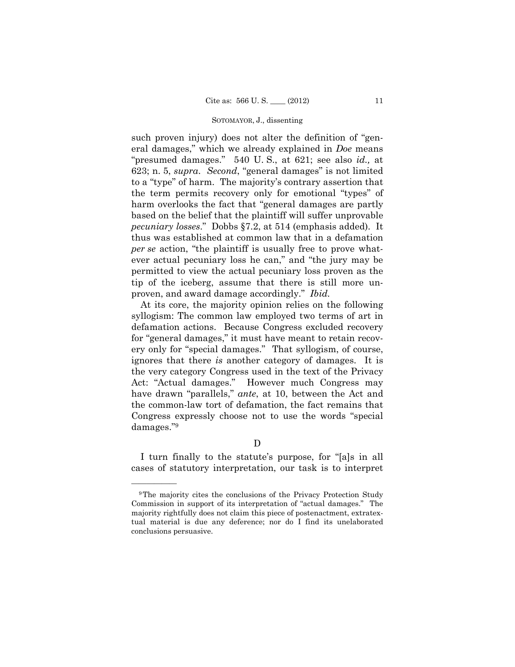such proven injury) does not alter the definition of "general damages," which we already explained in *Doe* means "presumed damages." 540 U. S., at 621; see also *id.,* at 623; n. 5, *supra*. *Second*, "general damages" is not limited to a "type" of harm. The majority's contrary assertion that the term permits recovery only for emotional "types" of harm overlooks the fact that "general damages are partly based on the belief that the plaintiff will suffer unprovable *pecuniary losses*." Dobbs §7.2, at 514 (emphasis added). It thus was established at common law that in a defamation *per se* action, "the plaintiff is usually free to prove whatever actual pecuniary loss he can," and "the jury may be permitted to view the actual pecuniary loss proven as the tip of the iceberg, assume that there is still more unproven, and award damage accordingly." *Ibid.* 

At its core, the majority opinion relies on the following syllogism: The common law employed two terms of art in defamation actions. Because Congress excluded recovery for "general damages," it must have meant to retain recovery only for "special damages." That syllogism, of course, ignores that there *is* another category of damages. It is the very category Congress used in the text of the Privacy Act: "Actual damages." However much Congress may have drawn "parallels," *ante*, at 10, between the Act and the common-law tort of defamation, the fact remains that Congress expressly choose not to use the words "special damages."9

# D

I turn finally to the statute's purpose, for "[a]s in all cases of statutory interpretation, our task is to interpret

<sup>&</sup>lt;sup>9</sup>The majority cites the conclusions of the Privacy Protection Study Commission in support of its interpretation of "actual damages." The majority rightfully does not claim this piece of postenactment, extratextual material is due any deference; nor do I find its unelaborated conclusions persuasive.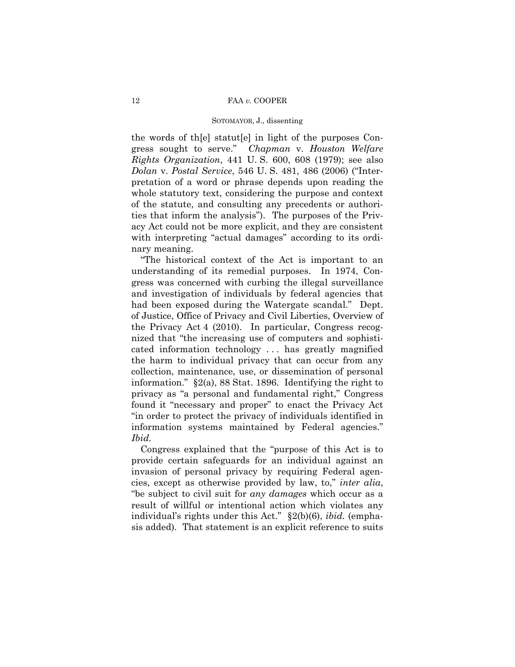the words of th[e] statut[e] in light of the purposes Congress sought to serve." *Chapman* v. *Houston Welfare Rights Organization*, 441 U. S. 600, 608 (1979); see also *Dolan* v. *Postal Service*, 546 U. S. 481, 486 (2006) ("Interpretation of a word or phrase depends upon reading the whole statutory text, considering the purpose and context of the statute, and consulting any precedents or authorities that inform the analysis"). The purposes of the Privacy Act could not be more explicit, and they are consistent with interpreting "actual damages" according to its ordinary meaning.

"The historical context of the Act is important to an understanding of its remedial purposes. In 1974, Congress was concerned with curbing the illegal surveillance and investigation of individuals by federal agencies that had been exposed during the Watergate scandal." Dept. of Justice, Office of Privacy and Civil Liberties, Overview of the Privacy Act 4 (2010). In particular, Congress recognized that "the increasing use of computers and sophisticated information technology . . . has greatly magnified the harm to individual privacy that can occur from any collection, maintenance, use, or dissemination of personal information." §2(a), 88 Stat. 1896. Identifying the right to privacy as "a personal and fundamental right," Congress found it "necessary and proper" to enact the Privacy Act "in order to protect the privacy of individuals identified in information systems maintained by Federal agencies." *Ibid.* 

Congress explained that the "purpose of this Act is to provide certain safeguards for an individual against an invasion of personal privacy by requiring Federal agencies, except as otherwise provided by law, to," *inter alia*, "be subject to civil suit for *any damages* which occur as a result of willful or intentional action which violates any individual's rights under this Act." §2(b)(6), *ibid.* (emphasis added). That statement is an explicit reference to suits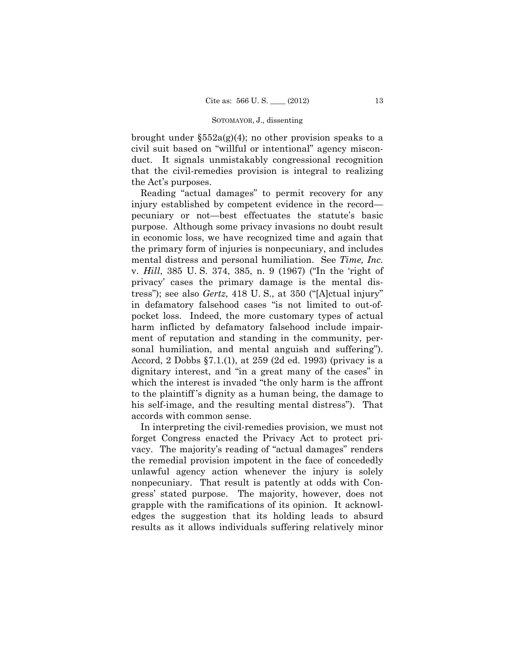brought under  $\S552a(g)(4)$ ; no other provision speaks to a civil suit based on "willful or intentional" agency misconduct. It signals unmistakably congressional recognition that the civil-remedies provision is integral to realizing the Act's purposes.

Reading "actual damages" to permit recovery for any injury established by competent evidence in the record pecuniary or not—best effectuates the statute's basic purpose. Although some privacy invasions no doubt result in economic loss, we have recognized time and again that the primary form of injuries is nonpecuniary, and includes mental distress and personal humiliation. See *Time, Inc.*  v. *Hill*, 385 U. S. 374, 385, n. 9 (1967) ("In the 'right of privacy' cases the primary damage is the mental distress"); see also *Gertz*, 418 U. S., at 350 ("[A]ctual injury" in defamatory falsehood cases "is not limited to out-ofpocket loss. Indeed, the more customary types of actual harm inflicted by defamatory falsehood include impairment of reputation and standing in the community, personal humiliation, and mental anguish and suffering"). Accord, 2 Dobbs §7.1.(1), at 259 (2d ed. 1993) (privacy is a dignitary interest, and "in a great many of the cases" in which the interest is invaded "the only harm is the affront to the plaintiff 's dignity as a human being, the damage to his self-image, and the resulting mental distress"). That accords with common sense.

In interpreting the civil-remedies provision, we must not forget Congress enacted the Privacy Act to protect privacy. The majority's reading of "actual damages" renders the remedial provision impotent in the face of concededly unlawful agency action whenever the injury is solely nonpecuniary. That result is patently at odds with Congress' stated purpose. The majority, however, does not grapple with the ramifications of its opinion. It acknowledges the suggestion that its holding leads to absurd results as it allows individuals suffering relatively minor